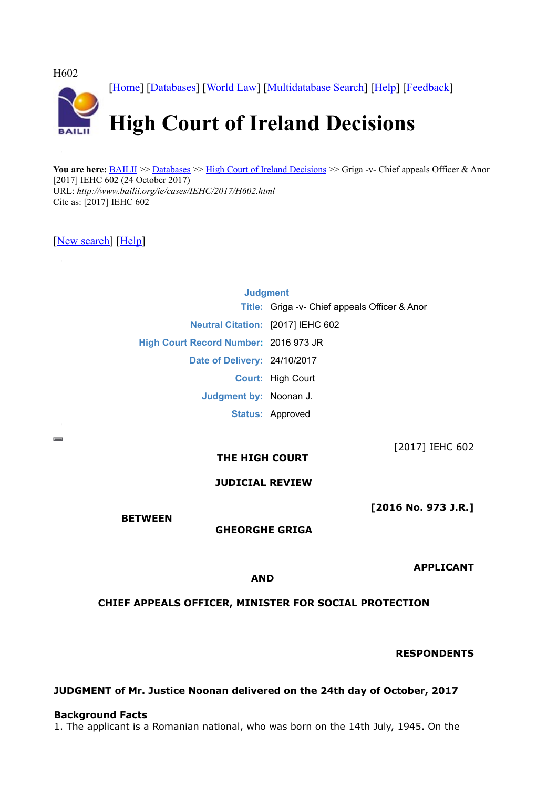H602

[\[Home\]](http://www.bailii.org/) [\[Databases\]](http://www.bailii.org/databases.html) [\[World Law\]](http://www.austlii.edu.au/links/World/) [\[Multidatabase Search\]](http://www.bailii.org/form/search_multidatabase.html) [\[Help\]](http://www.bailii.org/bailii/help/) [\[Feedback\]](http://www.bailii.org/bailii/feedback.html) **High Court of Ireland Decisions**

You are here: **BAILII** >> [Databases](http://www.bailii.org/databases.html) >> [High Court of Ireland Decisions](http://www.bailii.org/ie/cases/IEHC/) >> Griga -v- Chief appeals Officer & Anor [2017] IEHC 602 (24 October 2017) URL: *http://www.bailii.org/ie/cases/IEHC/2017/H602.html* Cite as: [2017] IEHC 602

[\[New search\]](http://www.bailii.org/form/search_cases.html) [\[Help\]](http://www.bailii.org/bailii/help/)

# **Judgment Title:** Griga -v- Chief appeals Officer & Anor **Neutral Citation:** [2017] IEHC 602 **High Court Record Number:** 2016 973 JR **Date of Delivery:** 24/10/2017 **Court:** High Court **Judgment by:** Noonan J. **Status:** Approved

# **THE HIGH COURT**

[2017] IEHC 602

**JUDICIAL REVIEW**

**[2016 No. 973 J.R.]**

**BETWEEN**

**GHEORGHE GRIGA**

**APPLICANT**

**AND**

**CHIEF APPEALS OFFICER, MINISTER FOR SOCIAL PROTECTION**

**RESPONDENTS**

**JUDGMENT of Mr. Justice Noonan delivered on the 24th day of October, 2017**

# **Background Facts**

1. The applicant is a Romanian national, who was born on the 14th July, 1945. On the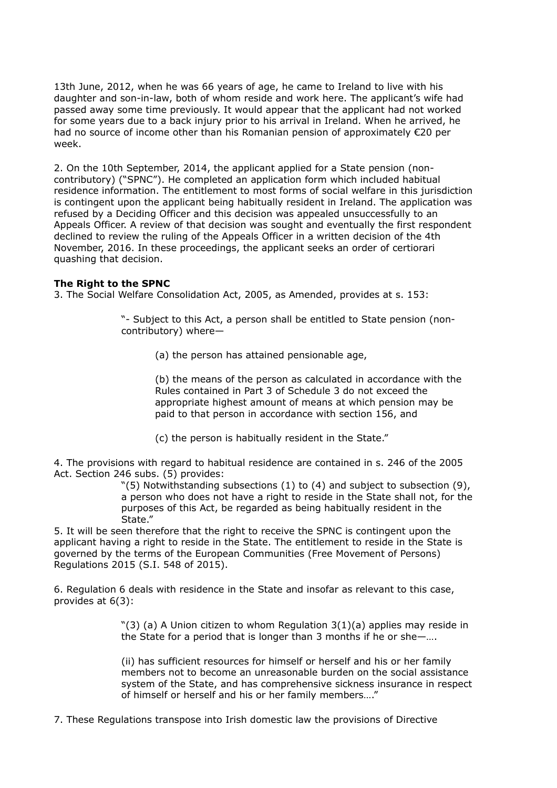13th June, 2012, when he was 66 years of age, he came to Ireland to live with his daughter and son-in-law, both of whom reside and work here. The applicant's wife had passed away some time previously. It would appear that the applicant had not worked for some years due to a back injury prior to his arrival in Ireland. When he arrived, he had no source of income other than his Romanian pension of approximately €20 per week.

2. On the 10th September, 2014, the applicant applied for a State pension (noncontributory) ("SPNC"). He completed an application form which included habitual residence information. The entitlement to most forms of social welfare in this jurisdiction is contingent upon the applicant being habitually resident in Ireland. The application was refused by a Deciding Officer and this decision was appealed unsuccessfully to an Appeals Officer. A review of that decision was sought and eventually the first respondent declined to review the ruling of the Appeals Officer in a written decision of the 4th November, 2016. In these proceedings, the applicant seeks an order of certiorari quashing that decision.

#### **The Right to the SPNC**

3. The Social Welfare Consolidation Act, 2005, as Amended, provides at s. 153:

"- Subject to this Act, a person shall be entitled to State pension (noncontributory) where—

(a) the person has attained pensionable age,

(b) the means of the person as calculated in accordance with the Rules contained in Part 3 of Schedule 3 do not exceed the appropriate highest amount of means at which pension may be paid to that person in accordance with section 156, and

(c) the person is habitually resident in the State."

4. The provisions with regard to habitual residence are contained in s. 246 of the 2005 Act. Section 246 subs. (5) provides:

> "(5) Notwithstanding subsections  $(1)$  to  $(4)$  and subject to subsection  $(9)$ , a person who does not have a right to reside in the State shall not, for the purposes of this Act, be regarded as being habitually resident in the State."

5. It will be seen therefore that the right to receive the SPNC is contingent upon the applicant having a right to reside in the State. The entitlement to reside in the State is governed by the terms of the European Communities (Free Movement of Persons) Regulations 2015 (S.I. 548 of 2015).

6. Regulation 6 deals with residence in the State and insofar as relevant to this case, provides at 6(3):

> "(3) (a) A Union citizen to whom Regulation  $3(1)(a)$  applies may reside in the State for a period that is longer than 3 months if he or she—….

(ii) has sufficient resources for himself or herself and his or her family members not to become an unreasonable burden on the social assistance system of the State, and has comprehensive sickness insurance in respect of himself or herself and his or her family members…."

7. These Regulations transpose into Irish domestic law the provisions of Directive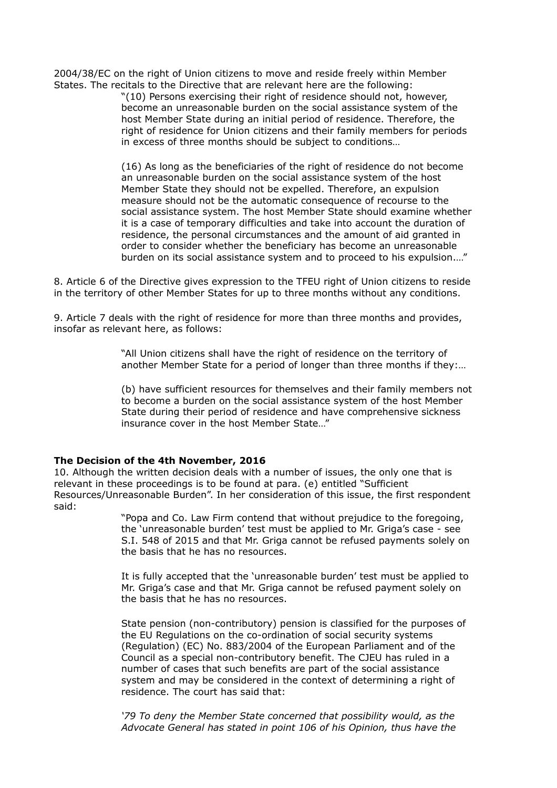2004/38/EC on the right of Union citizens to move and reside freely within Member States. The recitals to the Directive that are relevant here are the following:

> "(10) Persons exercising their right of residence should not, however, become an unreasonable burden on the social assistance system of the host Member State during an initial period of residence. Therefore, the right of residence for Union citizens and their family members for periods in excess of three months should be subject to conditions…

(16) As long as the beneficiaries of the right of residence do not become an unreasonable burden on the social assistance system of the host Member State they should not be expelled. Therefore, an expulsion measure should not be the automatic consequence of recourse to the social assistance system. The host Member State should examine whether it is a case of temporary difficulties and take into account the duration of residence, the personal circumstances and the amount of aid granted in order to consider whether the beneficiary has become an unreasonable burden on its social assistance system and to proceed to his expulsion.…"

8. Article 6 of the Directive gives expression to the TFEU right of Union citizens to reside in the territory of other Member States for up to three months without any conditions.

9. Article 7 deals with the right of residence for more than three months and provides, insofar as relevant here, as follows:

> "All Union citizens shall have the right of residence on the territory of another Member State for a period of longer than three months if they:…

(b) have sufficient resources for themselves and their family members not to become a burden on the social assistance system of the host Member State during their period of residence and have comprehensive sickness insurance cover in the host Member State…"

#### **The Decision of the 4th November, 2016**

10. Although the written decision deals with a number of issues, the only one that is relevant in these proceedings is to be found at para. (e) entitled "Sufficient Resources/Unreasonable Burden". In her consideration of this issue, the first respondent said:

> "Popa and Co. Law Firm contend that without prejudice to the foregoing, the 'unreasonable burden' test must be applied to Mr. Griga's case - see S.I. 548 of 2015 and that Mr. Griga cannot be refused payments solely on the basis that he has no resources.

> It is fully accepted that the 'unreasonable burden' test must be applied to Mr. Griga's case and that Mr. Griga cannot be refused payment solely on the basis that he has no resources.

> State pension (non-contributory) pension is classified for the purposes of the EU Regulations on the co-ordination of social security systems (Regulation) (EC) No. 883/2004 of the European Parliament and of the Council as a special non-contributory benefit. The CJEU has ruled in a number of cases that such benefits are part of the social assistance system and may be considered in the context of determining a right of residence. The court has said that:

*'79 To deny the Member State concerned that possibility would, as the Advocate General has stated in point 106 of his Opinion, thus have the*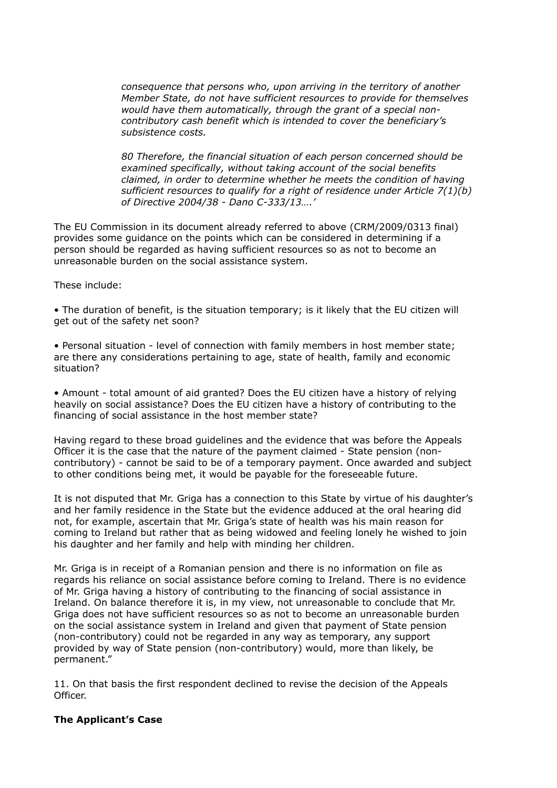*consequence that persons who, upon arriving in the territory of another Member State, do not have sufficient resources to provide for themselves would have them automatically, through the grant of a special noncontributory cash benefit which is intended to cover the beneficiary's subsistence costs.*

*80 Therefore, the financial situation of each person concerned should be examined specifically, without taking account of the social benefits claimed, in order to determine whether he meets the condition of having sufficient resources to qualify for a right of residence under Article 7(1)(b) of Directive 2004/38 - Dano C-333/13….'*

The EU Commission in its document already referred to above (CRM/2009/0313 final) provides some guidance on the points which can be considered in determining if a person should be regarded as having sufficient resources so as not to become an unreasonable burden on the social assistance system.

These include:

• The duration of benefit, is the situation temporary; is it likely that the EU citizen will get out of the safety net soon?

• Personal situation - level of connection with family members in host member state; are there any considerations pertaining to age, state of health, family and economic situation?

• Amount - total amount of aid granted? Does the EU citizen have a history of relying heavily on social assistance? Does the EU citizen have a history of contributing to the financing of social assistance in the host member state?

Having regard to these broad guidelines and the evidence that was before the Appeals Officer it is the case that the nature of the payment claimed - State pension (noncontributory) - cannot be said to be of a temporary payment. Once awarded and subject to other conditions being met, it would be payable for the foreseeable future.

It is not disputed that Mr. Griga has a connection to this State by virtue of his daughter's and her family residence in the State but the evidence adduced at the oral hearing did not, for example, ascertain that Mr. Griga's state of health was his main reason for coming to Ireland but rather that as being widowed and feeling lonely he wished to join his daughter and her family and help with minding her children.

Mr. Griga is in receipt of a Romanian pension and there is no information on file as regards his reliance on social assistance before coming to Ireland. There is no evidence of Mr. Griga having a history of contributing to the financing of social assistance in Ireland. On balance therefore it is, in my view, not unreasonable to conclude that Mr. Griga does not have sufficient resources so as not to become an unreasonable burden on the social assistance system in Ireland and given that payment of State pension (non-contributory) could not be regarded in any way as temporary, any support provided by way of State pension (non-contributory) would, more than likely, be permanent."

11. On that basis the first respondent declined to revise the decision of the Appeals Officer.

# **The Applicant's Case**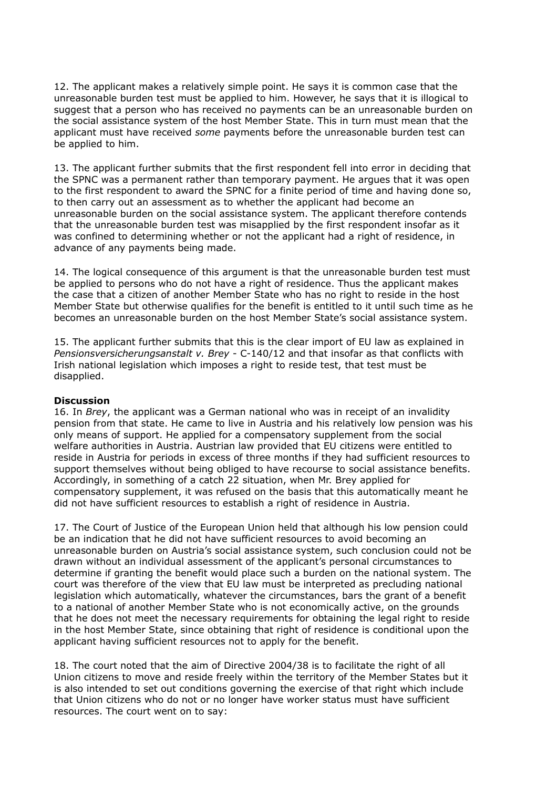12. The applicant makes a relatively simple point. He says it is common case that the unreasonable burden test must be applied to him. However, he says that it is illogical to suggest that a person who has received no payments can be an unreasonable burden on the social assistance system of the host Member State. This in turn must mean that the applicant must have received *some* payments before the unreasonable burden test can be applied to him.

13. The applicant further submits that the first respondent fell into error in deciding that the SPNC was a permanent rather than temporary payment. He argues that it was open to the first respondent to award the SPNC for a finite period of time and having done so, to then carry out an assessment as to whether the applicant had become an unreasonable burden on the social assistance system. The applicant therefore contends that the unreasonable burden test was misapplied by the first respondent insofar as it was confined to determining whether or not the applicant had a right of residence, in advance of any payments being made.

14. The logical consequence of this argument is that the unreasonable burden test must be applied to persons who do not have a right of residence. Thus the applicant makes the case that a citizen of another Member State who has no right to reside in the host Member State but otherwise qualifies for the benefit is entitled to it until such time as he becomes an unreasonable burden on the host Member State's social assistance system.

15. The applicant further submits that this is the clear import of EU law as explained in *Pensionsversicherungsanstalt v. Brey* - C-140/12 and that insofar as that conflicts with Irish national legislation which imposes a right to reside test, that test must be disapplied.

# **Discussion**

16. In *Brey*, the applicant was a German national who was in receipt of an invalidity pension from that state. He came to live in Austria and his relatively low pension was his only means of support. He applied for a compensatory supplement from the social welfare authorities in Austria. Austrian law provided that EU citizens were entitled to reside in Austria for periods in excess of three months if they had sufficient resources to support themselves without being obliged to have recourse to social assistance benefits. Accordingly, in something of a catch 22 situation, when Mr. Brey applied for compensatory supplement, it was refused on the basis that this automatically meant he did not have sufficient resources to establish a right of residence in Austria.

17. The Court of Justice of the European Union held that although his low pension could be an indication that he did not have sufficient resources to avoid becoming an unreasonable burden on Austria's social assistance system, such conclusion could not be drawn without an individual assessment of the applicant's personal circumstances to determine if granting the benefit would place such a burden on the national system. The court was therefore of the view that EU law must be interpreted as precluding national legislation which automatically, whatever the circumstances, bars the grant of a benefit to a national of another Member State who is not economically active, on the grounds that he does not meet the necessary requirements for obtaining the legal right to reside in the host Member State, since obtaining that right of residence is conditional upon the applicant having sufficient resources not to apply for the benefit.

18. The court noted that the aim of Directive 2004/38 is to facilitate the right of all Union citizens to move and reside freely within the territory of the Member States but it is also intended to set out conditions governing the exercise of that right which include that Union citizens who do not or no longer have worker status must have sufficient resources. The court went on to say: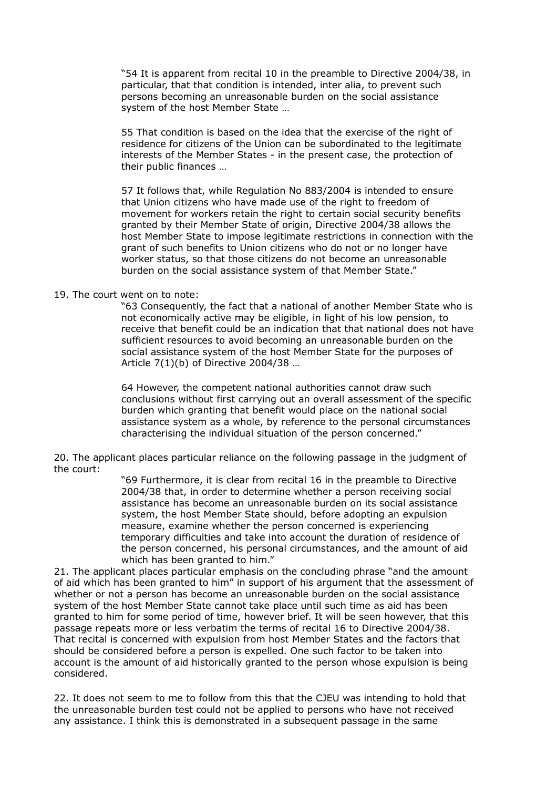"54 It is apparent from recital 10 in the preamble to Directive 2004/38, in particular, that that condition is intended, inter alia, to prevent such persons becoming an unreasonable burden on the social assistance system of the host Member State …

55 That condition is based on the idea that the exercise of the right of residence for citizens of the Union can be subordinated to the legitimate interests of the Member States - in the present case, the protection of their public finances …

57 It follows that, while Regulation No 883/2004 is intended to ensure that Union citizens who have made use of the right to freedom of movement for workers retain the right to certain social security benefits granted by their Member State of origin, Directive 2004/38 allows the host Member State to impose legitimate restrictions in connection with the grant of such benefits to Union citizens who do not or no longer have worker status, so that those citizens do not become an unreasonable burden on the social assistance system of that Member State."

# 19. The court went on to note:

"63 Consequently, the fact that a national of another Member State who is not economically active may be eligible, in light of his low pension, to receive that benefit could be an indication that that national does not have sufficient resources to avoid becoming an unreasonable burden on the social assistance system of the host Member State for the purposes of Article 7(1)(b) of Directive 2004/38 …

64 However, the competent national authorities cannot draw such conclusions without first carrying out an overall assessment of the specific burden which granting that benefit would place on the national social assistance system as a whole, by reference to the personal circumstances characterising the individual situation of the person concerned."

20. The applicant places particular reliance on the following passage in the judgment of the court:

> "69 Furthermore, it is clear from recital 16 in the preamble to Directive 2004/38 that, in order to determine whether a person receiving social assistance has become an unreasonable burden on its social assistance system, the host Member State should, before adopting an expulsion measure, examine whether the person concerned is experiencing temporary difficulties and take into account the duration of residence of the person concerned, his personal circumstances, and the amount of aid which has been granted to him."

21. The applicant places particular emphasis on the concluding phrase "and the amount of aid which has been granted to him" in support of his argument that the assessment of whether or not a person has become an unreasonable burden on the social assistance system of the host Member State cannot take place until such time as aid has been granted to him for some period of time, however brief. It will be seen however, that this passage repeats more or less verbatim the terms of recital 16 to Directive 2004/38. That recital is concerned with expulsion from host Member States and the factors that should be considered before a person is expelled. One such factor to be taken into account is the amount of aid historically granted to the person whose expulsion is being considered.

22. It does not seem to me to follow from this that the CJEU was intending to hold that the unreasonable burden test could not be applied to persons who have not received any assistance. I think this is demonstrated in a subsequent passage in the same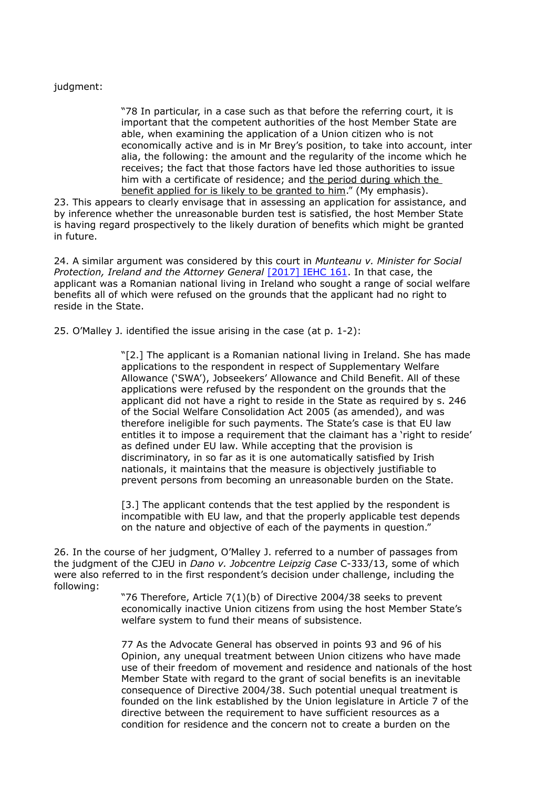# judgment:

"78 In particular, in a case such as that before the referring court, it is important that the competent authorities of the host Member State are able, when examining the application of a Union citizen who is not economically active and is in Mr Brey's position, to take into account, inter alia, the following: the amount and the regularity of the income which he receives; the fact that those factors have led those authorities to issue him with a certificate of residence; and the period during which the benefit applied for is likely to be granted to him." (My emphasis).

23. This appears to clearly envisage that in assessing an application for assistance, and by inference whether the unreasonable burden test is satisfied, the host Member State is having regard prospectively to the likely duration of benefits which might be granted in future.

24. A similar argument was considered by this court in *Munteanu v. Minister for Social Protection, Ireland and the Attorney General* [\[2017\] IEHC 161.](http://www.bailii.org/ie/cases/IEHC/2017/H161.html) In that case, the applicant was a Romanian national living in Ireland who sought a range of social welfare benefits all of which were refused on the grounds that the applicant had no right to reside in the State.

25. O'Malley J. identified the issue arising in the case (at p. 1-2):

"[2.] The applicant is a Romanian national living in Ireland. She has made applications to the respondent in respect of Supplementary Welfare Allowance ('SWA'), Jobseekers' Allowance and Child Benefit. All of these applications were refused by the respondent on the grounds that the applicant did not have a right to reside in the State as required by s. 246 of the Social Welfare Consolidation Act 2005 (as amended), and was therefore ineligible for such payments. The State's case is that EU law entitles it to impose a requirement that the claimant has a 'right to reside' as defined under EU law. While accepting that the provision is discriminatory, in so far as it is one automatically satisfied by Irish nationals, it maintains that the measure is objectively justifiable to prevent persons from becoming an unreasonable burden on the State.

[3.] The applicant contends that the test applied by the respondent is incompatible with EU law, and that the properly applicable test depends on the nature and objective of each of the payments in question."

26. In the course of her judgment, O'Malley J. referred to a number of passages from the judgment of the CJEU in *Dano v. Jobcentre Leipzig Case* C-333/13, some of which were also referred to in the first respondent's decision under challenge, including the following:

> "76 Therefore, Article 7(1)(b) of Directive 2004/38 seeks to prevent economically inactive Union citizens from using the host Member State's welfare system to fund their means of subsistence.

77 As the Advocate General has observed in points 93 and 96 of his Opinion, any unequal treatment between Union citizens who have made use of their freedom of movement and residence and nationals of the host Member State with regard to the grant of social benefits is an inevitable consequence of Directive 2004/38. Such potential unequal treatment is founded on the link established by the Union legislature in Article 7 of the directive between the requirement to have sufficient resources as a condition for residence and the concern not to create a burden on the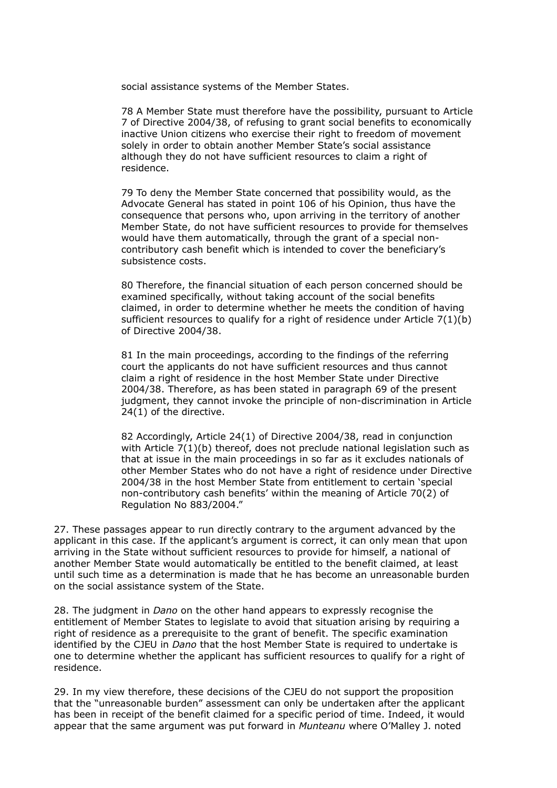social assistance systems of the Member States.

78 A Member State must therefore have the possibility, pursuant to Article 7 of Directive 2004/38, of refusing to grant social benefits to economically inactive Union citizens who exercise their right to freedom of movement solely in order to obtain another Member State's social assistance although they do not have sufficient resources to claim a right of residence.

79 To deny the Member State concerned that possibility would, as the Advocate General has stated in point 106 of his Opinion, thus have the consequence that persons who, upon arriving in the territory of another Member State, do not have sufficient resources to provide for themselves would have them automatically, through the grant of a special noncontributory cash benefit which is intended to cover the beneficiary's subsistence costs.

80 Therefore, the financial situation of each person concerned should be examined specifically, without taking account of the social benefits claimed, in order to determine whether he meets the condition of having sufficient resources to qualify for a right of residence under Article 7(1)(b) of Directive 2004/38.

81 In the main proceedings, according to the findings of the referring court the applicants do not have sufficient resources and thus cannot claim a right of residence in the host Member State under Directive 2004/38. Therefore, as has been stated in paragraph 69 of the present judgment, they cannot invoke the principle of non-discrimination in Article 24(1) of the directive.

82 Accordingly, Article 24(1) of Directive 2004/38, read in conjunction with Article  $7(1)(b)$  thereof, does not preclude national legislation such as that at issue in the main proceedings in so far as it excludes nationals of other Member States who do not have a right of residence under Directive 2004/38 in the host Member State from entitlement to certain 'special non-contributory cash benefits' within the meaning of Article 70(2) of Regulation No 883/2004."

27. These passages appear to run directly contrary to the argument advanced by the applicant in this case. If the applicant's argument is correct, it can only mean that upon arriving in the State without sufficient resources to provide for himself, a national of another Member State would automatically be entitled to the benefit claimed, at least until such time as a determination is made that he has become an unreasonable burden on the social assistance system of the State.

28. The judgment in *Dano* on the other hand appears to expressly recognise the entitlement of Member States to legislate to avoid that situation arising by requiring a right of residence as a prerequisite to the grant of benefit. The specific examination identified by the CJEU in *Dano* that the host Member State is required to undertake is one to determine whether the applicant has sufficient resources to qualify for a right of residence.

29. In my view therefore, these decisions of the CJEU do not support the proposition that the "unreasonable burden" assessment can only be undertaken after the applicant has been in receipt of the benefit claimed for a specific period of time. Indeed, it would appear that the same argument was put forward in *Munteanu* where O'Malley J. noted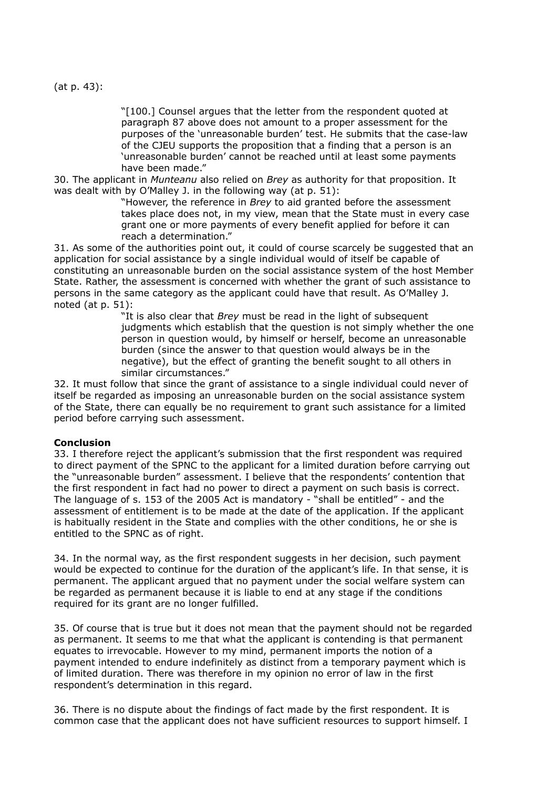(at p. 43):

"[100.] Counsel argues that the letter from the respondent quoted at paragraph 87 above does not amount to a proper assessment for the purposes of the 'unreasonable burden' test. He submits that the case-law of the CJEU supports the proposition that a finding that a person is an 'unreasonable burden' cannot be reached until at least some payments have been made."

30. The applicant in *Munteanu* also relied on *Brey* as authority for that proposition. It was dealt with by O'Malley J. in the following way (at p. 51):

"However, the reference in *Brey* to aid granted before the assessment takes place does not, in my view, mean that the State must in every case grant one or more payments of every benefit applied for before it can reach a determination."

31. As some of the authorities point out, it could of course scarcely be suggested that an application for social assistance by a single individual would of itself be capable of constituting an unreasonable burden on the social assistance system of the host Member State. Rather, the assessment is concerned with whether the grant of such assistance to persons in the same category as the applicant could have that result. As O'Malley J. noted (at  $p. 51$ ):

> "It is also clear that *Brey* must be read in the light of subsequent judgments which establish that the question is not simply whether the one person in question would, by himself or herself, become an unreasonable burden (since the answer to that question would always be in the negative), but the effect of granting the benefit sought to all others in similar circumstances."

32. It must follow that since the grant of assistance to a single individual could never of itself be regarded as imposing an unreasonable burden on the social assistance system of the State, there can equally be no requirement to grant such assistance for a limited period before carrying such assessment.

# **Conclusion**

33. I therefore reject the applicant's submission that the first respondent was required to direct payment of the SPNC to the applicant for a limited duration before carrying out the "unreasonable burden" assessment. I believe that the respondents' contention that the first respondent in fact had no power to direct a payment on such basis is correct. The language of s. 153 of the 2005 Act is mandatory - "shall be entitled" - and the assessment of entitlement is to be made at the date of the application. If the applicant is habitually resident in the State and complies with the other conditions, he or she is entitled to the SPNC as of right.

34. In the normal way, as the first respondent suggests in her decision, such payment would be expected to continue for the duration of the applicant's life. In that sense, it is permanent. The applicant argued that no payment under the social welfare system can be regarded as permanent because it is liable to end at any stage if the conditions required for its grant are no longer fulfilled.

35. Of course that is true but it does not mean that the payment should not be regarded as permanent. It seems to me that what the applicant is contending is that permanent equates to irrevocable. However to my mind, permanent imports the notion of a payment intended to endure indefinitely as distinct from a temporary payment which is of limited duration. There was therefore in my opinion no error of law in the first respondent's determination in this regard.

36. There is no dispute about the findings of fact made by the first respondent. It is common case that the applicant does not have sufficient resources to support himself. I